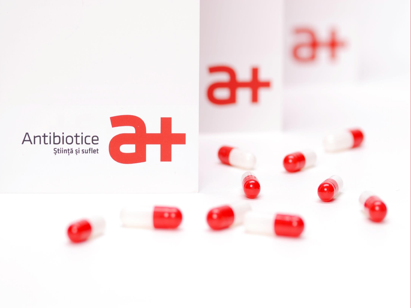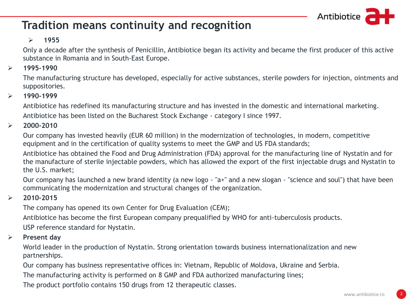

## **Tradition means continuity and recognition**

#### $\blacktriangleright$ ➢ **1955**

Only a decade after the synthesis of Penicillin, Antibiotice began its activity and became the first producer of this active substance in Romania and in South-East Europe.

#### ➢ **1995-1990**

The manufacturing structure has developed, especially for active substances, sterile powders for injection, ointments and suppositories.

#### ➢ **1990-1999**

Antibiotice has redefined its manufacturing structure and has invested in the domestic and international marketing. Antibiotice has been listed on the Bucharest Stock Exchange - category I since 1997.

#### ➢ **2000-2010**

Our company has invested heavily (EUR 60 million) in the modernization of technologies, in modern, competitive equipment and in the certification of quality systems to meet the GMP and US FDA standards;

Antibiotice has obtained the Food and Drug Administration (FDA) approval for the manufacturing line of Nystatin and for the manufacture of sterile injectable powders, which has allowed the export of the first injectable drugs and Nystatin to the U.S. market;

Our company has launched a new brand identity (a new logo - "a+" and a new slogan - "science and soul") that have been communicating the modernization and structural changes of the organization.

#### ➢ **2010-2015**

The company has opened its own Center for Drug Evaluation (CEM);

Antibiotice has become the first European company prequalified by WHO for anti-tuberculosis products.

USP reference standard for Nystatin.

#### ➢ **Present day**

World leader in the production of Nystatin. Strong orientation towards business internationalization and new partnerships.

Our company has business representative offices in: Vietnam, Republic of Moldova, Ukraine and Serbia.

The manufacturing activity is performed on 8 GMP and FDA authorized manufacturing lines;

The product portfolio contains 150 drugs from 12 therapeutic classes.

2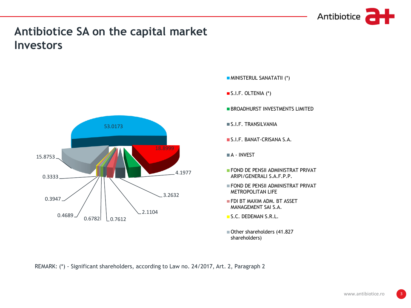

## **Investors Antibiotice SA on the capital market**



- MINISTERUL SANATATII (\*)
- S.I.F. OLTENIA (\*)
- **BROADHURST INVESTMENTS LIMITED**
- S.I.F. TRANSILVANIA
- S.I.F. BANAT-CRISANA S.A.
- A INVEST
- **FOND DE PENSII ADMINISTRAT PRIVAT** ARIPI/GENERALI S.A.F.P.P.
- FOND DE PENSII ADMINISTRAT PRIVAT METROPOLITAN LIFE
- **FDI BT MAXIM ADM. BT ASSET** MANAGEMENT SAI S.A.
- S.C. DEDEMAN S.R.L.
- Other shareholders (41.827 shareholders)

REMARK: (\*) - Significant shareholders, according to Law no. 24/2017, Art. 2, Paragraph 2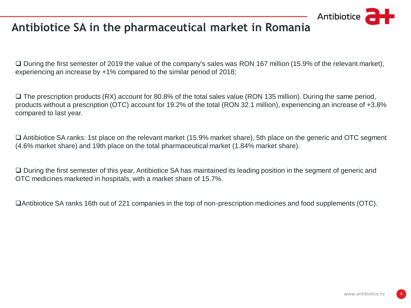

## **Antibiotice SA in the pharmaceutical market in Romania**

❑ During the first semester of 2019 the value of the company's sales was RON 167 million (15.9% of the relevant market), experiencing an increase by +1% compared to the similar period of 2018;

❑ The prescription products (RX) account for 80.8% of the total sales value (RON 135 million). During the same period, products without a prescription (OTC) account for 19.2% of the total (RON 32.1 million), experiencing an increase of +3.8% compared to last year.

❑ Antibiotice SA ranks: 1st place on the relevant market (15.9% market share), 5th place on the generic and OTC segment (4.6% market share) and 19th place on the total pharmaceutical market (1.84% market share).

❑ During the first semester of this year, Antibiotice SA has maintained its leading position in the segment of generic and OTC medicines marketed in hospitals, with a market share of 15.7%.

❑Antibiotice SA ranks 16th out of 221 companies in the top of non-prescription medicines and food supplements (OTC).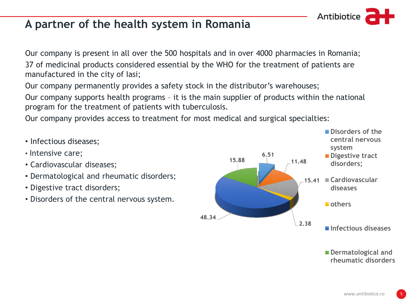## **A partner of the health system in Romania**

Our company is present in all over the 500 hospitals and in over 4000 pharmacies in Romania; 37 of medicinal products considered essential by the WHO for the treatment of patients are manufactured in the city of Iasi;

Our company permanently provides a safety stock in the distributor's warehouses;

Our company supports health programs – it is the main supplier of products within the national program for the treatment of patients with tuberculosis.

Our company provides access to treatment for most medical and surgical specialties:

- Infectious diseases;
- Intensive care;
- Cardiovascular diseases;
- Dermatological and rheumatic disorders;
- Digestive tract disorders;
- Disorders of the central nervous system.



**Dermatological and rheumatic disorders**

Antibiotice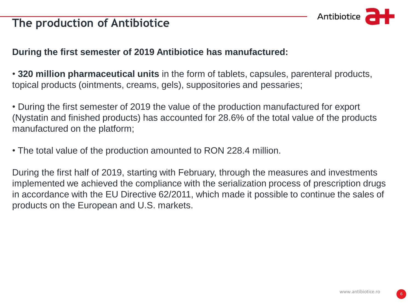## **The production of Antibiotice**



## **During the first semester of 2019 Antibiotice has manufactured:**

- **320 million pharmaceutical units** in the form of tablets, capsules, parenteral products, topical products (ointments, creams, gels), suppositories and pessaries;
- During the first semester of 2019 the value of the production manufactured for export (Nystatin and finished products) has accounted for 28.6% of the total value of the products manufactured on the platform;
- The total value of the production amounted to RON 228.4 million.

During the first half of 2019, starting with February, through the measures and investments implemented we achieved the compliance with the serialization process of prescription drugs in accordance with the EU Directive 62/2011, which made it possible to continue the sales of products on the European and U.S. markets.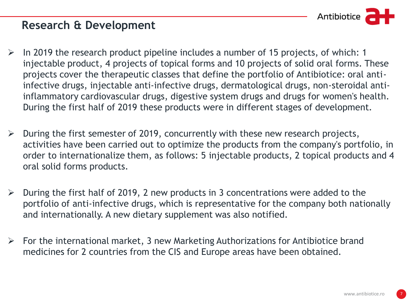

## **Research & Development**

- $\triangleright$  In 2019 the research product pipeline includes a number of 15 projects, of which: 1 injectable product, 4 projects of topical forms and 10 projects of solid oral forms. These projects cover the therapeutic classes that define the portfolio of Antibiotice: oral antiinfective drugs, injectable anti-infective drugs, dermatological drugs, non-steroidal antiinflammatory cardiovascular drugs, digestive system drugs and drugs for women's health. During the first half of 2019 these products were in different stages of development.
- $\triangleright$  During the first semester of 2019, concurrently with these new research projects, activities have been carried out to optimize the products from the company's portfolio, in order to internationalize them, as follows: 5 injectable products, 2 topical products and 4 oral solid forms products.
- $\triangleright$  During the first half of 2019, 2 new products in 3 concentrations were added to the portfolio of anti-infective drugs, which is representative for the company both nationally and internationally. A new dietary supplement was also notified.
- $\triangleright$  For the international market, 3 new Marketing Authorizations for Antibiotice brand medicines for 2 countries from the CIS and Europe areas have been obtained.

7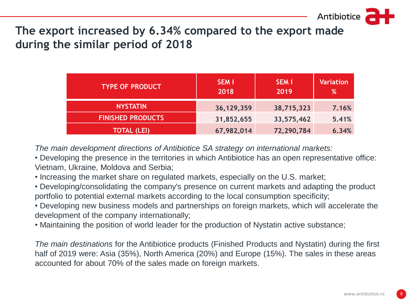during the similar period of 2018 **The export increased by 6.34% compared to the export made** 

| <b>TYPE OF PRODUCT</b>   | <b>SEM I</b><br>2018 | <b>SEM I</b><br>2019 | <b>Variation</b><br>% |
|--------------------------|----------------------|----------------------|-----------------------|
| <b>NYSTATIN</b>          | 36, 129, 359         | 38,715,323           | 7.16%                 |
| <b>FINISHED PRODUCTS</b> | 31,852,655           | 33,575,462           | 5.41%                 |
| <b>TOTAL (LEI)</b>       | 67,982,014           | 72,290,784           | 6.34%                 |

*The main development directions of Antibiotice SA strategy on international markets:*

• Developing the presence in the territories in which Antibiotice has an open representative office: **din cifra de**  Vietnam, Ukraine, Moldova and Serbia;

• Increasing the market share on regulated markets, especially on the U.S. market;

• Developing/consolidating the company's presence on current markets and adapting the product portfolio to potential external markets according to the local consumption specificity;

• Developing new business models and partnerships on foreign markets, which will accelerate the development of the company internationally;

• Maintaining the position of world leader for the production of Nystatin active substance;

*The main destinations* for the Antibiotice products (Finished Products and Nystatin) during the first half of 2019 were: Asia (35%), North America (20%) and Europe (15%). The sales in these areas accounted for about 70% of the sales made on foreign markets.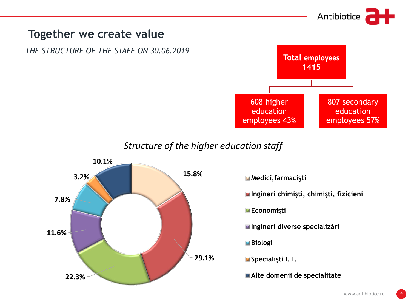

## **Together we create value**

*THE STRUCTURE OF THE STAFF ON 30.06.2019*



*Structure of the higher education staff*



**Medici,farmacişti**

**Ingineri chimişti, chimişti, fizicieni**

**Economişti**

**Ingineri diverse specializări**

**Biologi**

**Specialişti I.T.**

**Alte domenii de specialitate**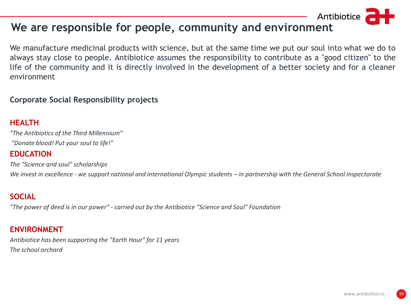## **We are responsible for people, community and environment**

We manufacture medicinal products with science, but at the same time we put our soul into what we do to always stay close to people. Antibiotice assumes the responsibility to contribute as a "good citizen" to the life of the community and it is directly involved in the development of a better society and for a cleaner environment

#### **Corporate Social Responsibility projects**

### **HEALTH**

*"The Antibiotics of the Third Millennium" "Donate blood! Put your soul to life!"*

#### **EDUCATION**

*The "Science and soul" scholarships We invest in excellence - we support national and international Olympic students – in partnership with the General School Inspectorate* 

### **SOCIAL**

*"The power of deed is in our power" - carried out by the Antibiotice "Science and Soul" Foundation*

#### **ENVIRONMENT**

*Antibiotice has been supporting the "Earth Hour" for 11 years The school orchard*

Antibiotice

10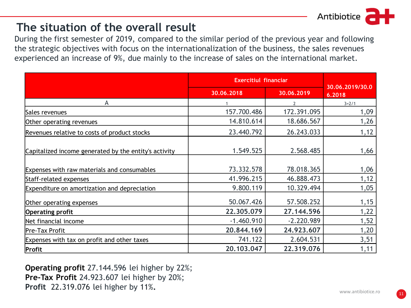

## **The situation of the overall result**

During the first semester of 2019, compared to the similar period of the previous year and following the strategic objectives with focus on the internationalization of the business, the sales revenues experienced an increase of 9%, due mainly to the increase of sales on the international market.

|                                                       | <b>Exercitiul financiar</b> |              |                           |
|-------------------------------------------------------|-----------------------------|--------------|---------------------------|
|                                                       | 30.06.2018                  | 30.06.2019   | 30.06.2019/30.0<br>6.2018 |
| A                                                     |                             |              | $3=2/1$                   |
| Sales revenues                                        | 157.700.486                 | 172.391.095  | 1,09                      |
| Other operating revenues                              | 14.810.614                  | 18.686.567   | 1,26                      |
| Revenues relative to costs of product stocks          | 23.440.792                  | 26.243.033   | 1,12                      |
| Capitalized income generated by the entity's activity | 1.549.525                   | 2.568.485    | 1,66                      |
| Expenses with raw materials and consumables           | 73.332.578                  | 78.018.365   | 1,06                      |
| Staff-related expenses                                | 41.996.215                  | 46.888.473   | 1,12                      |
| Expenditure on amortization and depreciation          | 9.800.119                   | 10.329.494   | 1,05                      |
| Other operating expenses                              | 50.067.426                  | 57.508.252   | 1,15                      |
| <b>Operating profit</b>                               | 22.305.079                  | 27.144.596   | 1,22                      |
| Net financial income                                  | $-1.460.910$                | $-2.220.989$ | 1,52                      |
| Pre-Tax Profit                                        | 20.844.169                  | 24.923.607   | 1,20                      |
| Expenses with tax on profit and other taxes           | 741.122                     | 2.604.531    | 3,51                      |
| Profit                                                | 20.103.047                  | 22.319.076   | 1,11                      |

**Operating profit** 27.144.596 lei higher by 22%; **Pre-Tax Profit** 24.923.607 lei higher by 20%; **Profit** 22.319.076 lei higher by 11%**.**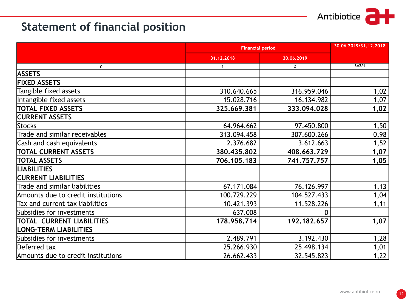### Antibiotice dtr

## **Statement of financial position**

|                                    | <b>Financial period</b> |              | 30.06.2019/31.12.2018 |
|------------------------------------|-------------------------|--------------|-----------------------|
|                                    | 31.12.2018              | 30.06.2019   |                       |
| 0                                  | $\mathbf{1}$            | $\mathbf{2}$ | $3 = 2/1$             |
| <b>ASSETS</b>                      |                         |              |                       |
| <b>FIXED ASSETS</b>                |                         |              |                       |
| Tangible fixed assets              | 310.640.665             | 316.959.046  | 1,02                  |
| Intangible fixed assets            | 15.028.716              | 16.134.982   | 1,07                  |
| <b>TOTAL FIXED ASSETS</b>          | 325.669.381             | 333.094.028  | 1,02                  |
| <b>CURRENT ASSETS</b>              |                         |              |                       |
| <b>Stocks</b>                      | 64.964.662              | 97.450.800   | 1,50                  |
| Trade and similar receivables      | 313.094.458             | 307.600.266  | 0,98                  |
| Cash and cash equivalents          | 2.376.682               | 3.612.663    | 1,52                  |
| <b>TOTAL CURRENT ASSETS</b>        | 380.435.802             | 408.663.729  | 1,07                  |
| <b>TOTAL ASSETS</b>                | 706.105.183             | 741.757.757  | 1,05                  |
| <b>LIABILITIES</b>                 |                         |              |                       |
| <b>CURRENT LIABILITIES</b>         |                         |              |                       |
| Trade and similar liabilities      | 67.171.084              | 76.126.997   | 1,13                  |
| Amounts due to credit institutions | 100.729.229             | 104.527.433  | 1,04                  |
| Tax and current tax liabilities    | 10.421.393              | 11.528.226   | 1,11                  |
| Subsidies for investments          | 637.008                 | 0            |                       |
| TOTAL CURRENT LIABILITIES          | 178.958.714             | 192.182.657  | 1,07                  |
| LONG-TERM LIABILITIES              |                         |              |                       |
| Subsidies for investments          | 2.489.791               | 3.192.430    | 1,28                  |
| Deferred tax                       | 25.266.930              | 25.498.134   | 1,01                  |
| Amounts due to credit institutions | 26.662.433              | 32.545.823   | 1,22                  |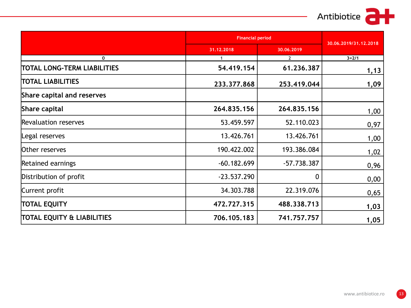## Antibiotice **at**

|                                       |               | <b>Financial period</b> |                       |
|---------------------------------------|---------------|-------------------------|-----------------------|
|                                       | 31.12.2018    | 30.06.2019              | 30.06.2019/31.12.2018 |
| 0                                     | $\mathbf{1}$  | $\mathbf{2}$            | $3 = 2/1$             |
| TOTAL LONG-TERM LIABILITIES           | 54.419.154    | 61.236.387              | 1,13                  |
| <b>TOTAL LIABILITIES</b>              | 233.377.868   | 253.419.044             | 1,09                  |
| Share capital and reserves            |               |                         |                       |
| Share capital                         | 264.835.156   | 264,835,156             | 1,00                  |
| Revaluation reserves                  | 53.459.597    | 52.110.023              | 0,97                  |
| Legal reserves                        | 13.426.761    | 13.426.761              | 1,00                  |
| Other reserves                        | 190.422.002   | 193.386.084             | 1,02                  |
| Retained earnings                     | $-60.182.699$ | $-57.738.387$           | 0,96                  |
| Distribution of profit                | $-23.537.290$ | 0                       | 0,00                  |
| Current profit                        | 34.303.788    | 22.319.076              | 0,65                  |
| <b>TOTAL EQUITY</b>                   | 472.727.315   | 488.338.713             | 1,03                  |
| <b>TOTAL EQUITY &amp; LIABILITIES</b> | 706.105.183   | 741.757.757             | 1,05                  |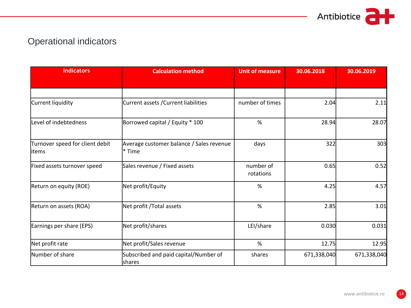

## Operational indicators

| <b>Indicators</b>                         | <b>Calculation method</b>                              | <b>Unit of measure</b> | 30.06.2018  | 30.06.2019  |
|-------------------------------------------|--------------------------------------------------------|------------------------|-------------|-------------|
|                                           |                                                        |                        |             |             |
|                                           |                                                        |                        |             |             |
| Current liquidity                         | Current assets / Current liabilities                   | number of times        | 2.04        | 2.11        |
| Level of indebtedness                     | Borrowed capital / Equity * 100                        | %                      | 28.94       | 28.07       |
| Turnover speed for client debit<br>litems | Average customer balance / Sales revenue<br>l* Time    | days                   | 322         | 303         |
| Fixed assets turnover speed               | Sales revenue / Fixed assets                           | number of<br>rotations | 0.65        | 0.52        |
| Return on equity (ROE)                    | Net profit/Equity                                      | $\%$                   | 4.25        | 4.57        |
| Return on assets (ROA)                    | Net profit / Total assets                              | %                      | 2.85        | 3.01        |
| Earnings per share (EPS)                  | Net profit/shares                                      | LEI/share              | 0.030       | 0.031       |
| Net profit rate                           | Net profit/Sales revenue                               | $\%$                   | 12.75       | 12.95       |
| Number of share                           | Subscribed and paid capital/Number of<br><b>shares</b> | shares                 | 671,338,040 | 671,338,040 |